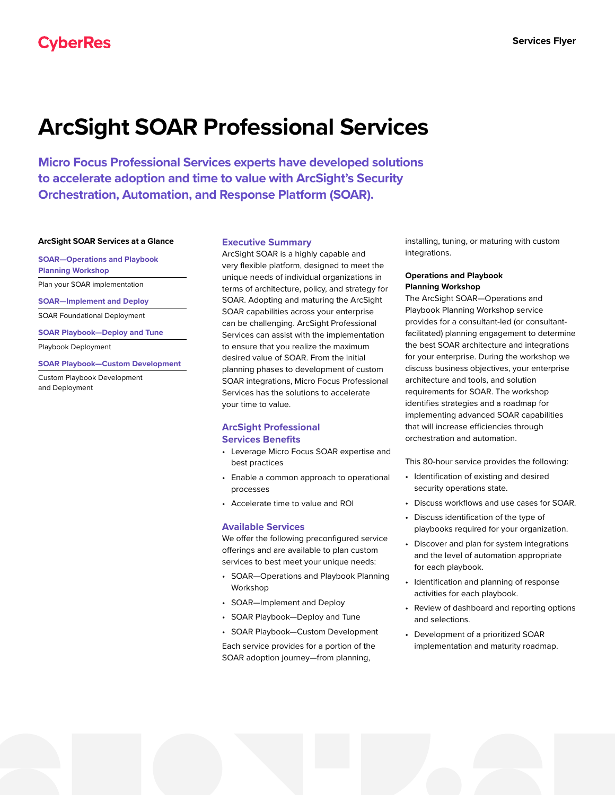# **ArcSight SOAR Professional Services**

**Micro Focus Professional Services experts have developed solutions to accelerate adoption and time to value with ArcSight's Security Orchestration, Automation, and Response Platform (SOAR).** 

### **ArcSight SOAR Services at a Glance**

**SOAR—Operations and Playbook** 

**Planning Workshop**

Plan your SOAR implementation

**SOAR—Implement and Deploy**

SOAR Foundational Deployment

**SOAR Playbook—Deploy and Tune**

Playbook Deployment

#### **SOAR Playbook—Custom Development**

Custom Playbook Development and Deployment

#### **Executive Summary**

ArcSight SOAR is a highly capable and very flexible platform, designed to meet the unique needs of individual organizations in terms of architecture, policy, and strategy for SOAR. Adopting and maturing the ArcSight SOAR capabilities across your enterprise can be challenging. ArcSight Professional Services can assist with the implementation to ensure that you realize the maximum desired value of SOAR. From the initial planning phases to development of custom SOAR integrations, Micro Focus Professional Services has the solutions to accelerate your time to value.

## **ArcSight Professional Services Benefits**

- Leverage Micro Focus SOAR expertise and best practices
- Enable a common approach to operational processes
- Accelerate time to value and ROI

## **Available Services**

We offer the following preconfigured service offerings and are available to plan custom services to best meet your unique needs:

- SOAR—Operations and Playbook Planning Workshop
- SOAR—Implement and Deploy
- SOAR Playbook—Deploy and Tune
- SOAR Playbook—Custom Development

Each service provides for a portion of the SOAR adoption journey—from planning,

installing, tuning, or maturing with custom integrations.

## **Operations and Playbook Planning Workshop**

The ArcSight SOAR—Operations and Playbook Planning Workshop service provides for a consultant-led (or consultantfacilitated) planning engagement to determine the best SOAR architecture and integrations for your enterprise. During the workshop we discuss business objectives, your enterprise architecture and tools, and solution requirements for SOAR. The workshop identifies strategies and a roadmap for implementing advanced SOAR capabilities that will increase efficiencies through orchestration and automation.

This 80-hour service provides the following:

- Identification of existing and desired security operations state.
- Discuss workflows and use cases for SOAR.
- Discuss identification of the type of playbooks required for your organization.
- Discover and plan for system integrations and the level of automation appropriate for each playbook.
- Identification and planning of response activities for each playbook.
- Review of dashboard and reporting options and selections.
- Development of a prioritized SOAR implementation and maturity roadmap.